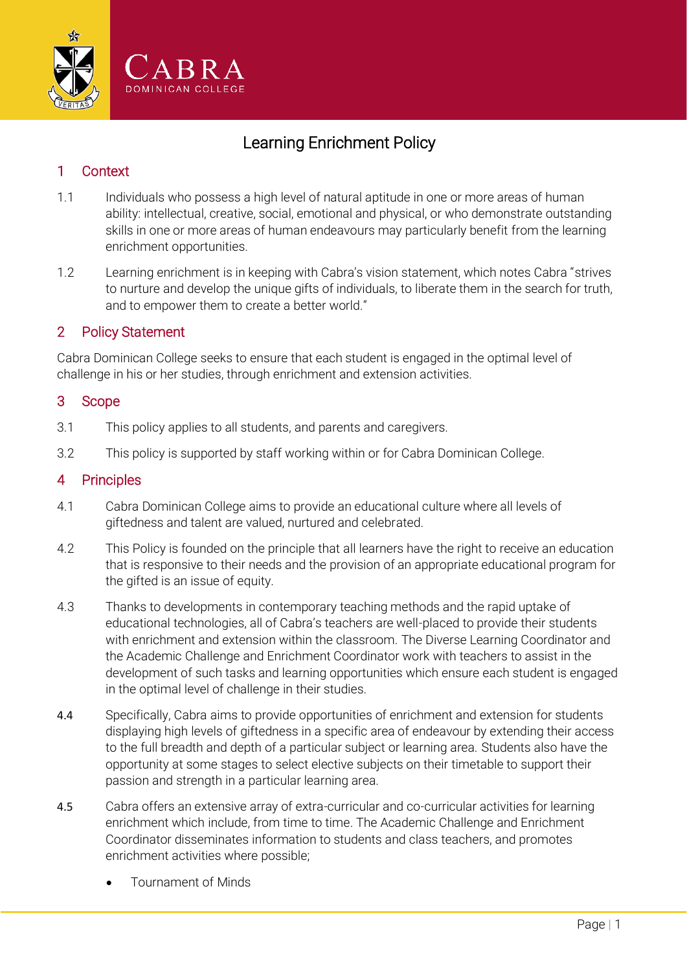

# Learning Enrichment Policy

# 1 Context

- 1.1 Individuals who possess a high level of natural aptitude in one or more areas of human ability: intellectual, creative, social, emotional and physical, or who demonstrate outstanding skills in one or more areas of human endeavours may particularly benefit from the learning enrichment opportunities.
- 1.2 Learning enrichment is in keeping with Cabra's vision statement, which notes Cabra "strives to nurture and develop the unique gifts of individuals, to liberate them in the search for truth, and to empower them to create a better world."

# 2 Policy Statement

Cabra Dominican College seeks to ensure that each student is engaged in the optimal level of challenge in his or her studies, through enrichment and extension activities.

#### 3 Scope

- 3.1 This policy applies to all students, and parents and caregivers.
- 3.2 This policy is supported by staff working within or for Cabra Dominican College.

#### 4 Principles

- 4.1 Cabra Dominican College aims to provide an educational culture where all levels of giftedness and talent are valued, nurtured and celebrated.
- 4.2 This Policy is founded on the principle that all learners have the right to receive an education that is responsive to their needs and the provision of an appropriate educational program for the gifted is an issue of equity.
- 4.3 Thanks to developments in contemporary teaching methods and the rapid uptake of educational technologies, all of Cabra's teachers are well-placed to provide their students with enrichment and extension within the classroom. The Diverse Learning Coordinator and the Academic Challenge and Enrichment Coordinator work with teachers to assist in the development of such tasks and learning opportunities which ensure each student is engaged in the optimal level of challenge in their studies.
- 4.4 Specifically, Cabra aims to provide opportunities of enrichment and extension for students displaying high levels of giftedness in a specific area of endeavour by extending their access to the full breadth and depth of a particular subject or learning area. Students also have the opportunity at some stages to select elective subjects on their timetable to support their passion and strength in a particular learning area.
- 4.5 Cabra offers an extensive array of extra-curricular and co-curricular activities for learning enrichment which include, from time to time. The Academic Challenge and Enrichment Coordinator disseminates information to students and class teachers, and promotes enrichment activities where possible;
	- Tournament of Minds